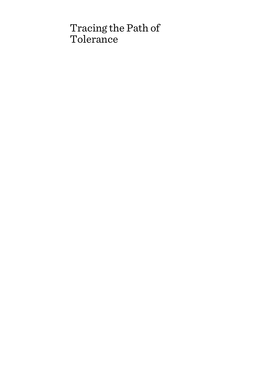# Tracing the Path of Tolerance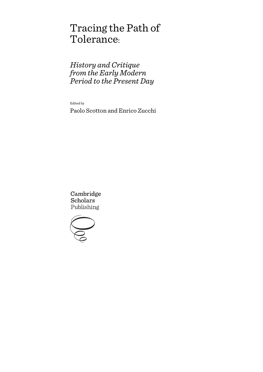# Tracing the Path of Tolerance:

*History and Critique from the Early Modern Period to the Present Day*

Edited by

Paolo Scotton and Enrico Zucchi

Cambridge **Scholars** Publishing

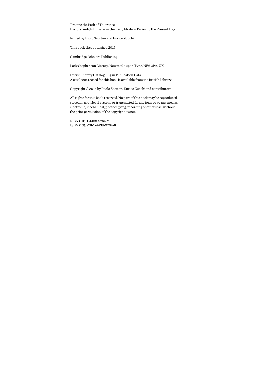Tracing the Path of Tolerance: History and Critique from the Early Modern Period to the Present Day

Edited by Paolo Scotton and Enrico Zucchi

This book first published 2016

Cambridge Scholars Publishing

Lady Stephenson Library, Newcastle upon Tyne, NE6 2PA, UK

British Library Cataloguing in Publication Data A catalogue record for this book is available from the British Library

Copyright © 2016 by Paolo Scotton, Enrico Zucchi and contributors

All rights for this book reserved. No part of this book may be reproduced, stored in a retrieval system, or transmitted, in any form or by any means, electronic, mechanical, photocopying, recording or otherwise, without the prior permission of the copyright owner.

ISBN (10): 1-4438-9764-7 ISBN (13): 978-1-4438-9764-8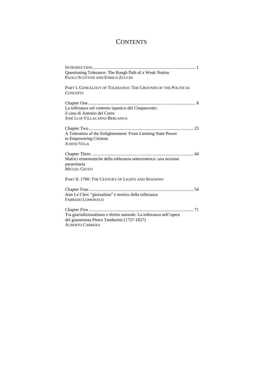# **CONTENTS**

| Questioning Tolerance: The Rough Path of a Weak Notion<br>PAOLO SCOTTON AND ENRICO ZUCCHI                                                     |  |
|-----------------------------------------------------------------------------------------------------------------------------------------------|--|
| PART I. GENEALOGY OF TOLERANCE: THE GROUNDS OF THE POLITICAL<br><b>CONCEPTS</b>                                                               |  |
| La tolleranza nel contesto ispanico del Cinquecento:<br>il caso di Antonio del Corro<br><b>JOSÉ LUIS VILLACAÑAS BERLANGA</b>                  |  |
| A Toleration of the Enlightenment: From Limiting State Power<br>to Empowering Citizens<br><b>JUDITH VEGA</b>                                  |  |
| Matrici ermeneutiche della tolleranza settecentesca: una nozione<br>parassitaria<br><b>MIGUEL GIUSTI</b>                                      |  |
| PART II. 1700: THE CENTURY OF LIGHTS AND SHADOWS                                                                                              |  |
| Jean Le Clerc "giornalista" e teorico della tolleranza<br><b>FABRIZIO LOMONACO</b>                                                            |  |
| Tra giurisdizionalismo e diritto naturale. La tolleranza nell'opera<br>del giansenista Pietro Tamburini (1737-1827)<br><b>ALBERTO CARRERA</b> |  |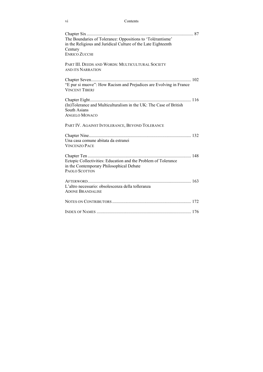#### vi Contents

| The Boundaries of Tolerance: Oppositions to 'Tolérantisme'<br>in the Religious and Juridical Culture of the Late Eighteenth<br>Century |  |
|----------------------------------------------------------------------------------------------------------------------------------------|--|
| <b>ENRICO ZUCCHI</b>                                                                                                                   |  |
| PART III. DEEDS AND WORDS: MULTICULTURAL SOCIETY<br>AND ITS NARRATION                                                                  |  |
|                                                                                                                                        |  |
| "E pur si muove": How Racism and Prejudices are Evolving in France<br><b>VINCENT TIBERJ</b>                                            |  |
|                                                                                                                                        |  |
| (In)Tolerance and Multiculturalism in the UK: The Case of British<br><b>South Asians</b>                                               |  |
| <b>ANGELO MONACO</b>                                                                                                                   |  |
| PART IV. AGAINST INTOLERANCE, BEYOND TOLERANCE                                                                                         |  |
|                                                                                                                                        |  |
| Una casa comune abitata da estranei<br><b>VINCENZO PACE</b>                                                                            |  |
|                                                                                                                                        |  |
| Ectopic Collectivities: Education and the Problem of Tolerance<br>in the Contemporary Philosophical Debate                             |  |
| PAOLO SCOTTON                                                                                                                          |  |
|                                                                                                                                        |  |
| L'altro necessario: obsolescenza della tolleranza<br><b>ADONE BRANDALISE</b>                                                           |  |
|                                                                                                                                        |  |
|                                                                                                                                        |  |
|                                                                                                                                        |  |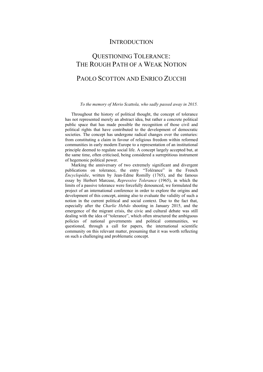### **INTRODUCTION**

# QUESTIONING TOLERANCE: THE ROUGH PATH OF A WEAK NOTION

## PAOLO SCOTTON AND ENRICO ZUCCHI

#### *To the memory of Merio Scattola, who sadly passed away in 2015.*

Throughout the history of political thought, the concept of tolerance has not represented merely an abstract idea, but rather a concrete political public space that has made possible the recognition of those civil and political rights that have contributed to the development of democratic societies. The concept has undergone radical changes over the centuries: from constituting a claim in favour of religious freedom within reformed communities in early modern Europe to a representation of an institutional principle deemed to regulate social life. A concept largely accepted but, at the same time, often criticised, being considered a surreptitious instrument of hegemonic political power.

Marking the anniversary of two extremely significant and divergent publications on tolerance, the entry "Tolérance" in the French *Encyclopédie*, written by Jean-Edme Romilly (1765), and the famous essay by Herbert Marcuse, *Repressive Tolerance* (1965), in which the limits of a passive tolerance were forcefully denounced, we formulated the project of an international conference in order to explore the origins and development of this concept, aiming also to evaluate the validity of such a notion in the current political and social context. Due to the fact that, especially after the *Charlie Hebdo* shooting in January 2015, and the emergence of the migrant crisis, the civic and cultural debate was still dealing with the idea of "tolerance", which often structured the ambiguous policies of national governments and political communities, we questioned, through a call for papers, the international scientific community on this relevant matter, presuming that it was worth reflecting on such a challenging and problematic concept.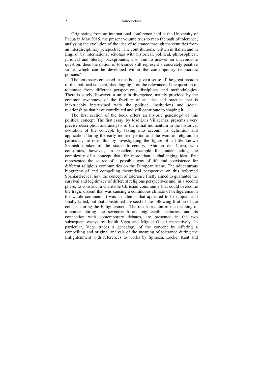#### 2 Introduction

Originating from an international conference held at the University of Padua in May 2015, the present volume tries to map the path of tolerance, analysing the evolution of the idea of tolerance through the centuries from an interdisciplinary perspective. The contributions, written in Italian and in English by international scholars with historical, political, philosophical, juridical and literary backgrounds, also aim to answer an unavoidable question: does the notion of tolerance still represent a concretely positive value, which can be developed within the contemporary democratic policies?

The ten essays collected in this book give a sense of the great breadth of this political concept, shedding light on the relevance of the question of tolerance from different perspectives, disciplines and methodologies. There is surely, however, a unity in divergence, mainly provided by the common awareness of the fragility of an idea and practice that is inextricably intertwined with the political institutions and social relationships that have contributed and still contribute to shaping it.

The first section of the book offers an historic genealogy of this political concept. The first essay, by José Luis Villacañas, presents a very precise description and analysis of the initial momentum in the historical evolution of the concept, by taking into account its definition and application during the early modern period and the wars of religion. In particular, he does this by investigating the figure of a little known Spanish thinker of the sixteenth century, Antonio del Corro, who constitutes, however, an excellent example for understanding the complexity of a concept that, far more than a challenging idea, first represented the source of a possible way of life and coexistence for different religious communities on the European scene. The adventurous biography of and compelling theoretical perspective on this reformed Spaniard reveal how the concept of tolerance firstly aimed to guarantee the survival and legitimacy of different religious perspectives and, in a second phase, to construct a charitable Christian community that could overcome the tragic dissent that was causing a continuous climate of belligerence in the whole continent. It was an attempt that appeared to be utopian and finally failed, but that constituted the seed of the following fruition of the concept during the Enlightenment. The reconstruction of the meaning of tolerance during the seventeenth and eighteenth centuries, and its connection with contemporary debates, are presented in the two subsequent essays by Judith Vega and Miguel Giusti respectively. In particular, Vega traces a genealogy of the concept by offering a compelling and original analysis of the meaning of tolerance during the Enlightenment with references to works by Spinoza, Locke, Kant and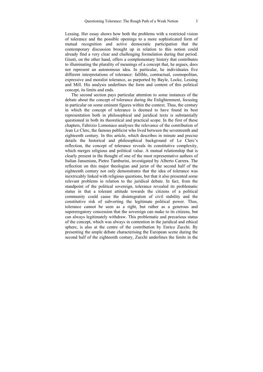Lessing. Her essay shows how both the problems with a restricted vision of tolerance and the possible openings to a more sophisticated form of mutual recognition and active democratic participation that the contemporary discussion brought up in relation to this notion could already find a very clear and challenging formulation during that period. Giusti, on the other hand, offers a complementary history that contributes to illuminating the plurality of meanings of a concept that, he argues, does not represent an autonomous idea. In particular, he individuates five different interpretations of tolerance: fallible, contractual, cosmopolitan, expressive and moralist tolerance, as purported by Bayle, Locke, Lessing and Mill. His analysis underlines the form and content of this political concept, its limits and ends.

The second section pays particular attention to some instances of the debate about the concept of tolerance during the Enlightenment, focusing in particular on some eminent figures within the context. Thus, the century in which the concept of tolerance is deemed to have found its best representation both in philosophical and juridical texts is substantially questioned in both its theoretical and practical scope. In the first of these chapters, Fabrizio Lomonaco analyses the relevance of the contribution of Jean Le Clerc, the famous publicist who lived between the seventeenth and eighteenth century. In this article, which describes in minute and precise details the historical and philosophical background of Le Clerc's reflection, the concept of tolerance reveals its constitutive complexity, which merges religious and political value. A mutual relationship that is clearly present in the thought of one of the most representative authors of Italian Jansenism, Pietro Tamburini, investigated by Alberto Carrera. The reflection on this major theologian and jurist of the second half of the eighteenth century not only demonstrates that the idea of tolerance was inextricably linked with religious questions, but that it also presented some relevant problems in relation to the juridical debate. In fact, from the standpoint of the political sovereign, tolerance revealed its problematic status in that a tolerant attitude towards the citizens of a political community could cause the disintegration of civil stability and the constitutive risk of subverting the legitimate political power. Thus, tolerance cannot be seen as a right, but rather as a generous and supererogatory concession that the sovereign can make to its citizens, but can always legitimately withdraw. This problematic and precarious status of the concept, which was always in contention in the juridical and ethical sphere, is also at the centre of the contribution by Enrico Zucchi. By presenting the ample debate characterising the European scene during the second half of the eighteenth century, Zucchi underlines the limits in the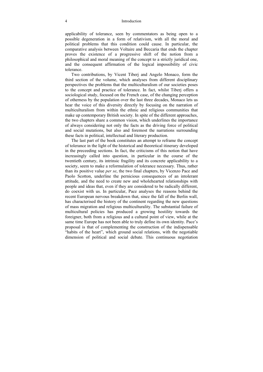#### 4 Introduction

applicability of tolerance, seen by commentators as being open to a possible degeneration in a form of relativism, with all the moral and political problems that this condition could cause. In particular, the comparative analysis between Voltaire and Beccaria that ends the chapter proves the existence of a progressive shift of the notion from a philosophical and moral meaning of the concept to a strictly juridical one, and the consequent affirmation of the logical impossibility of civic tolerance.

Two contributions, by Vicent Tiberj and Angelo Monaco, form the third section of the volume, which analyses from different disciplinary perspectives the problems that the multiculturalism of our societies poses to the concept and practice of tolerance. In fact, whilst Tiberj offers a sociological study, focused on the French case, of the changing perception of otherness by the population over the last three decades, Monaco lets us hear the voice of this diversity directly by focusing on the narration of multiculturalism from within the ethnic and religious communities that make up contemporary British society. In spite of the different approaches, the two chapters share a common vision, which underlines the importance of always considering not only the facts as the driving force of political and social mutations, but also and foremost the narrations surrounding these facts in political, intellectual and literary production.

The last part of the book constitutes an attempt to reframe the concept of tolerance in the light of the historical and theoretical itinerary developed in the preceeding sections. In fact, the criticisms of this notion that have increasingly called into question, in particular in the course of the twentieth century, its intrinsic fragility and its concrete applicability to a society, seem to make a reformulation of tolerance necessary. Thus, rather than its positive value *per se*, the two final chapters, by Vicenzo Pace and Paolo Scotton, underline the pernicious consequences of an intolerant attitude, and the need to create new and wholehearted relationships with people and ideas that, even if they are considered to be radically different, do coexist with us. In particular, Pace analyses the reasons behind the recent European nervous breakdown that, since the fall of the Berlin wall, has characterised the history of the continent regarding the new questions of mass migration and religious multiculturality. The substantial failure of multicultural policies has produced a growing hostility towards the foreigner, both from a religious and a cultural point of view, while at the same time Europe has not been able to truly define its own identity. Pace's proposal is that of complementing the construction of the indispensable "habits of the heart", which ground social relations, with the negotiable dimension of political and social debate. This continuous negotiation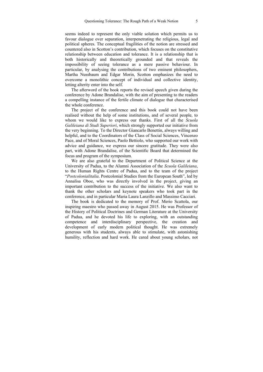seems indeed to represent the only viable solution which permits us to favour dialogue over separation, interpenetrating the religious, legal and political spheres. The conceptual fragilities of the notion are stressed and countered also in Scotton's contribution, which focuses on the constitutive relationship between education and tolerance. It is a relationship that is both historically and theoretically grounded and that reveals the impossibility of seeing tolerance as a mere passive behaviour. In particular, by analysing the contributions of two eminent philosophers, Martha Nussbaum and Edgar Morin, Scotton emphasizes the need to overcome a monolithic concept of individual and collective identity, letting alterity enter into the self.

The afterword of the book reports the revised speech given during the conference by Adone Brandalise, with the aim of presenting to the readers a compelling instance of the fertile climate of dialogue that characterised the whole conference.

The project of the conference and this book could not have been realised without the help of some institutions, and of several people, to whom we would like to express our thanks. First of all the *Scuola Galileiana di Studi Superiori*, which strongly supported our initiative from the very beginning. To the Director Giancarlo Benettin, always willing and helpful, and to the Coordinators of the Class of Social Sciences, Vincenzo Pace, and of Moral Sciences, Paolo Bettiolo, who supported our work with advice and guidance, we express our sincere gratitude. They were also part, with Adone Brandalise, of the Scientific Board that determined the focus and program of the symposium.

We are also grateful to the Department of Political Science at the University of Padua, to the Alumni Association of the *Scuola Galileiana*, to the Human Rights Centre of Padua, and to the team of the project "*Postcolonialitalia*. Postcolonial Studies from the European South", led by Annalisa Oboe, who was directly involved in the project, giving an important contribution to the success of the initiative. We also want to thank the other scholars and keynote speakers who took part in the conference, and in particular Maria Laura Lanzillo and Massimo Cacciari.

The book is dedicated to the memory of Prof. Merio Scattola, our inspiring maestro who passed away in August 2015. He was Professor of the History of Political Doctrines and German Literature at the University of Padua, and he devoted his life to exploring, with an outstanding competence and interdisciplinary perspective, the creation and development of early modern political thought. He was extremely generous with his students, always able to stimulate, with astonishing humility, reflection and hard work. He cared about young scholars, not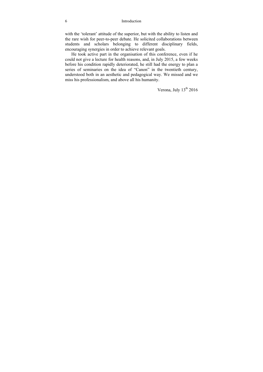6 Introduction

with the 'tolerant' attitude of the superior, but with the ability to listen and the rare wish for peer-to-peer debate. He solicited collaborations between students and scholars belonging to different disciplinary fields, encouraging synergies in order to achieve relevant goals.

He took active part in the organisation of this conference, even if he could not give a lecture for health reasons, and, in July 2015, a few weeks before his condition rapidly deteriorated, he still had the energy to plan a series of seminaries on the idea of "Canon" in the twentieth century, understood both in an aesthetic and pedagogical way. We missed and we miss his professionalism, and above all his humanity.

Verona, July 13<sup>th</sup> 2016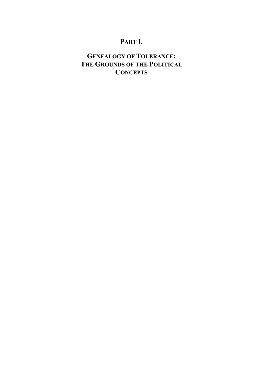# **PART I.**

# **GENEALOGY OF TOLERANCE: THE GROUNDS OF THE POLITICAL CONCEPTS**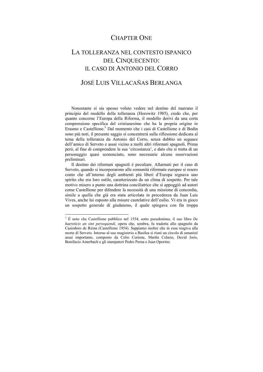### CHAPTER ONE

# LA TOLLERANZA NEL CONTESTO ISPANICO DEL CINQUECENTO: IL CASO DI ANTONIO DEL CORRO

### JOSÉ LUIS VILLACAÑAS BERLANGA

Nonostante si sia spesso voluto vedere nel destino del marrano il principio del modello della tolleranza (Horowitz 1985), credo che, per quanto concerne l'Europa della Riforma, il modello derivi da una certa comprensione specifica del cristianesimo che ha la propria origine in Erasmo e Castellione.<sup>1</sup> Dal momento che i casi di Castellione e di Bodin sono più noti, il presente saggio si concentrerà sulla riflessione dedicata al tema della tolleranza da Antonio del Corro, senza dubbio un seguace dell'amico di Serveto e assai vicino a molti altri riformati spagnoli. Prima però, al fine di comprendere la sua 'circostanza', e dato che si tratta di un personaggio quasi sconosciuto, sono necessarie alcune osservazioni preliminari.

Il destino dei riformati spagnoli è peculiare. Allarmati per il caso di Serveto, quando si incorporarono alle comunità riformate europee si resero conto che all'interno degli ambienti più liberi d'Europa regnava uno spirito che era loro ostile, caratterizzato da un clima di sospetto. Per tale motivo misero a punto una dottrina conciliatrice che si appoggiò ad autori come Castellione per difendere la necessità di una missione di concordia, simile a quella che già era stata articolata in precedenza da Juan Luis Vives, anche lui esposto alla misure cautelative dell'esilio. Vi era in gioco un sospetto generale di giudaismo, il quale spiegava con fin troppa

1

<sup>1</sup> È noto che Castellione pubblico nel 1554, sotto pseudonimo, il suo libro *De haereticis an sint persequendi,* opera che, sembra, fu tradotta allo spagnolo da Casiodoro de Reina (Castellione 1954). Sappiamo inoltre che in essa reagiva alla morte di Serveto. Intorno al suo magisterio a Basilea si riunì un circolo di umanisti assai importante, composto da Celio Curione, Martín Celario, David Joris, Bonifacio Amerbach e gli stampatori Pedro Perna e Juan Oporino.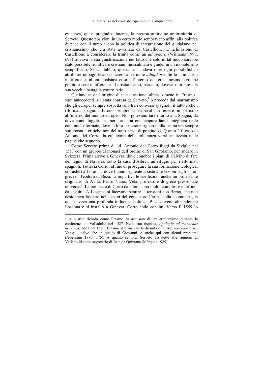evidenza, quasi pregiudizialmente, la pretesa attitudine antitrinitaria di Serveto. Queste posizioni in un certo modo sembravano affini alla politica di pace con il turco e con la politica di integrazione del giudaismo nel cristianesimo che era stata avvallata da Castellione. L'inclinazione di Castellione a considerare la trinità come un *adiaphora* (Williams 1998, 698) trovava la sua giustificazione nel fatto che solo in tal modo sarebbe stato possibile riunificare cristiani, mussulmani e giudei in un monoteismo semplificato. Senza dubbio, questa tesi andava oltre ogni possibilità di attribuire un significato concreto al termine *adiaphora.* Se la Trinità era indifferente, allora qualsiasi cosa all'interno del cristianesimo avrebbe potuto essere indifferente. Il cristianesimo, pertanto, doveva ritornare alla sua vecchia battaglia contro Ario.

Qualunque sia l'origine di tale questione, abbia o meno in Erasmo i suoi antecedenti, sia stata appresa da Serveto,<sup>2</sup> o proceda dal marranismo che gli europei sempre sospettavano tra i conversi spagnoli, il fatto è che i riformati spagnoli furono sempre consapevoli di essere in pericolo all'interno del mondo europeo. Non potevano fare ritorno alla Spagna, da dove erano fuggiti, ma per loro non era neppure facile integrarsi nelle comunità riformate, dove la loro posizione riguardo alla trinità era sempre sottoposta a critiche non del tutto prive di pregiudizi. Questo è il caso di Antonio del Corro, la cui teoria della tolleranza verrà analizzata nelle pagine che seguono.

Come Serveto prima di lui, Antonio del Corro fuggì da Siviglia nel 1557 con un gruppo di monaci dell'ordine di San Girolamo, per andare in Svizzera. Prima arrivò a Ginevra, dove conobbe i piani di Calvino di fare del regno di Navarra, sotto la casa d'Albret, un rifugio per i riformati spagnoli. Tuttavia Corro, al fine di proseguire la sua formazione teologica, si trasferì a Losanna, dove l'anno seguente assiste alle lezioni sugli autori greci di Teodoro di Beza. Lì impartiva le sue lezioni anche un protestante originario di Avila, Pedro Núñez Vela, professore di greco presso tale università. Le peripezie di Corro da allora sono molto complesse e difficili da seguire. A Losanna si facevano sentire le tensioni con Berna, che non desiderava lasciare nelle mani del concistoro l'arma della scomunica, la quale aveva una profonda influenza politica. Beza dovette abbandonare Losanna e si installò a Ginevra. Corro andò con lui. Verso il 1559 lo

1

<sup>2</sup> Augustijn ricorda come Erasmo fu accusato di anti-trinitarismo durante la conferenza di Valladolid nel 1527. Nella sua risposta, *Apologia ad manachos hispanos*, edita nel 1528, Erasmo afferma che la divinità di Cristo non appare nei Vangeli, salvo che in quello di Giovanni, e anche qui con alcuni problemi (Augustijn 1990, 175). A quanto sembra, Serveto assistette alle riunioni di Valladolid come segretario di Juan de Quintana (Márquez 1989).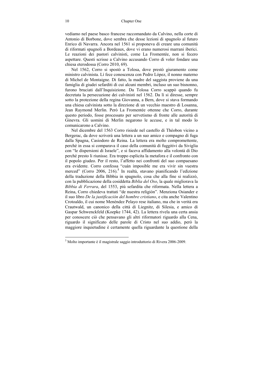vediamo nel paese basco francese raccomandato da Calvino, nella corte di Antonio di Borbone, dove sembra che desse lezioni di spagnolo al futuro Enrico di Navarra. Ancora nel 1561 si proponeva di creare una comunità di riformati spagnoli a Bordeaux, dove vi erano numerosi marrani iberici. Le reazioni dei pastori calvinisti, come La Fromentée, non si fecero aspettare. Questi scrisse a Calvino accusando Corro di voler fondare una chiesa eterodossa (Corro 2010, 69).

Nel 1562, Corro si spostò a Tolosa, dove prestò giuramento come ministro calvinista. Lì fece conoscenza con Pedro López, il nonno materno di Michel de Montaigne. Di fatto, la madre del saggista proviene da una famiglia di giudei sefarditi di cui alcuni membri, incluso un suo bisnonno, furono bruciati dall'Inquisizione. Da Tolosa Corro scappò quando fu decretata la persecuzione dei calvinisti nel 1562. Da lì si diresse, sempre sotto la protezione della regina Giovanna, a Bern, dove si stava formando una chiesa calvinista sotto la direzione di un vecchio maestro di Losanna, Jean Raymond Merlin. Però La Fromentée ottenne che Corro, durante questo periodo, fosse processato per servetismo di fronte alle autorità di Ginevra. Gli uomini di Merlin negarono le accuse, e in tal modo lo comunicarono a Calvino.

Nel dicembre del 1563 Corro risiede nel castello di Théobon vicino a Bergerac, da dove scriverà una lettera a un suo amico e compagno di fuga dalla Spagna, Casiodoro de Reina. La lettera era molto compromettente, perché in essa si comparava il caso della comunità di fuggitivi da Siviglia con "le dispersioni di Israele", e si faceva affidamento alla volontà di Dio perché presto li riunisse. Era troppo esplicita la metafora e il confronto con il popolo giudeo. Per il resto, l'affetto nei confronti del suo compaesano era evidente. Corro confessa "cuán imposible me era vivir sin vuestra merced" (Corro 2006, 216).<sup>3</sup> In realtà, stavano pianificando l'edizione della traduzione della Bibbia in spagnolo, cosa che alla fine si realizzò, con la pubblicazione della cosiddetta *Biblia del Oso*, la quale migliorava la *Bibbia di Ferrara*, del 1553, più sefardita che riformata. Nella lettera a Reina, Corro chiedeva trattati "de nuestra religión". Menziona Osiander e il suo libro *De la justificación del hombre cristiano*, e cita anche Valentino Crotoaldo, il cui nome Menéndez Pelayo rese italiano, ma che in verità era Crautwald, un canonico della città di Liegnitz, di Silesia, e amico di Gaspar Schwenckfeld (Koepke 1744, 42). La lettera rivela una certa ansia per conoscere ciò che pensavano gli altri riformatori riguardo alla Cena, riguardo il significato delle parole di Cristo nel suo addio, però la maggiore inquietudine è certamente quella riguardante la questione della

 3 Molto importante è il magistrale saggio introduttorio di Rivera 2006-2009.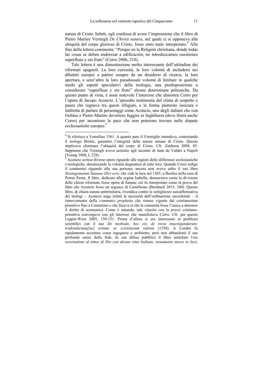natura di Cristo. Infatti, egli confessa di avere l'impressione che il libro di Pietro Martire Vermigli *De Christi natura*, nel quale ci si opponeva alla ubiquità del corpo glorioso di Cristo, fosse stato male interpretato.<sup>4</sup> Alla fine della lettera commenta: "Porque en la Religión christiana, donde todas las cosas se deben enderezar a edificación, no introduzcamos cuestiones superfluas y sin fruto" (Corro 2006, 218).

Tale lettera è una dimostrazione molto interessante dell'attitudine dei riformati spagnoli. La loro curiosità, la loro volontà di includersi nei dibattiti europei a partire sempre da un desiderio di ricerca, la loro apertura, e senz'altro la loro paradossale volontà di limitare in qualche modo gli aspetti speculativi della teologia, una predisposizione a considerare "superfluas y sin fruto" alcune determinate polemiche. Da questo punto di vista, è assai notevole l'interesse che dimostra Corro per l'opera di Jacopo Aconcio. L'episodio testimonia del clima di sospetto e paura che regnava tra questi rifugiati, e la forma piuttosto insicura e indiretta di parlare di personaggi come Aconcio, uno degli italiani che con Ochino e Pietro Martire dovettero fuggire in Inghilterra (dove finirà anche Corro) per incontrare la pace che non poterono trovare nelle dispute ecclesiastiche europee.<sup>5</sup>

 4 Si riferisce a Vermilius 1561. A quanto pare il Vermiglio intendeva, contestando il teologo Brentz, garantire l'integrità della natura umana di Cristo. Questo implicava eliminare l'ubiquità del corpo di Cristo. Cfr. Zuidema 2008, 85. Sappiamo che Vermigli aveva assistito agli incontri di Juan de Valdés a Napoli (Young 1860, I, 228).

<sup>5</sup> Aconcio scrisse diverse opere riguardo alle ragioni delle differenze ecclesiastiche e teologiche, denunciando la volontà dogmatica di tutte loro. Quando Corro redige il commento riguardo alla sua persona, ancora non aveva edito il suo libro *Stratagematum Satanae libri octo,* che vide la luce nel 1565, a Basilea nella casa di Petrus Perna. Il libro, dedicato alla regina Isabella, denunciava come la divisione delle chiese riformate fosse opera di Satana; ciò fu interpretato come la prova del fatto che Aconcio fosse un seguace di Castellione (Bernhard 2015, 340). Questo libro, di chiara natura antitrinitaria, rivendica contro le sottigliezze autoaffermativa dei teologi – Aconcio nega infatti la necessità dell'ordinazione sacerdotale – il rinnovamento della *communis prophetia* che rimase vigente dal cristianesimo primitivo fino a Costantino e che faceva sì che la comunità fosse l'unica a detenere il diritto di scomunica. Come è naturale, tale vincolo con la *praxis* cristianoprimitiva convergeva con gli interessi che manifestava Corro. Cfr. per questo Leppin-Wien 2005, 150-151. Prima d'allora si era interessato ai problemi scientifici con il suo *De methodo, hoc est, de recta inuestigandarum: tradendarumq[ue] artium, ac scientiarum ratione* (1558). A Londra fu rapidamente accettato come ingegnere e architetto, però non abbandonò il suo profondo senso della fede. In sua difesa pubblicò il libro intitolato *Una essortatione al timor di Dio con alcune rime Italiane, nouamente messe in luce*,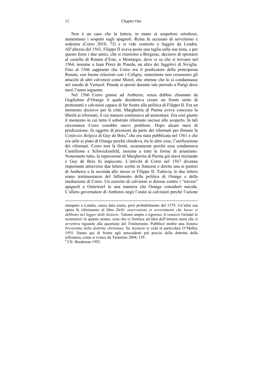Non è un caso che la lettera, in mano ai sospettosi ortodossi, aumentasse i sospetti sugli spagnoli. Reina fu accusato di servetismo e sodomia (Corro 2010, 73) e si vide costretto a fuggire da Londra. All'altezza del 1563, Filippo II aveva posto una taglia sulla sua testa, e per questo forse i due amici, che si riunirono a Bergerac, decisero di spostarsi al castello di Renata d'Este, a Montargis, dove si sa che si trovano nel 1564, insieme a Juan Pérez de Pineda, un altro dei fuggitivi di Siviglia. Fino al 1566 sappiamo che Corro era il predicatore della principessa Renata, con buone relazioni con i Coligny, nonostante non cessassero gli attacchi di altri calvinisti come Morel, che ottenne che lo si condannasse nel sinodo di Vertueil. Pineda si spostò durante tale periodo a Parígi dove morì l'anno seguente.

Nel 1566 Corro giunse ad Amberes, senza dubbio chiamato da Guglielmo d'Orange il quale desiderava creare un fronte unito di protestanti e calvinisti capace di far fronte alla politica di Filippo II. Era un momento decisivo per la città. Margherita di Parma aveva concesso la libertà ai riformati, il cui numero continuava ad aumentare. Era così giunto il momento in cui tutto il substrato riformato uscisse allo scoperto. In tali circostanze Corro conobbe nuovi problemi. Dopo alcuni mesi di predicazione, fu oggetto di pressioni da parte dei riformati per firmare la Confessio Belgica di Guy de Brès,<sup>6</sup> che era stata pubblicata nel 1561 e che era utile ai piani di Orange perché chiedeva, tra le altre cose, l'unificazione dei riformati. Corro non la firmò, sicuramente perché essa condannava Castellione e Schweckenfeld, insieme a tutte le forme di arianismo. Nonostante tutto, la repressione di Margherita di Parma già stava iniziando e Guy de Brès fu impiccato. L'attività di Corro nel 1567 divenne importante attraverso due lettere scritte in francese e dirette una ai pastori di Amberes e la seconda allo stesso re Filippo II. Tuttavia, le due lettere erano testimonianze del fallimento della politica di Orange e della mediazione di Corro. Un esercito di calvinisti si diresse contro i "tercios" spagnoli a Osterweel in una maniera che Orange considerò suicida. L'allora governatore di Amberes negò l'aiuto ai calvinisti perché l'azione

stampato a Londra, senza data esatta, però probabilmente del 1579. Un'altra sua opera fa riferimento al libro *Delle osservazioni et avvertimenti che haver si debbono nel legger delle historie*. Talento ampio e rigoroso, il vescovo Grindal lo scomunicò in quanto ariano, cosa che ci fornisce un'idea dell'intensa ansia che si avvertiva riguardo alla questione del Trinitarismo. Pubblicò inoltre una *Somma brevissima della dottrina christiana*. Su Aconcio si veda in particolare O'Malley 1955. Siamo qui di fronte agli antecedenti più precisi della dottrina della tolleranza, come si evince da Tarantino 2004, 139. <sup>6</sup>

 $\overline{a}$ 

 $6$  Cfr. Braekman 1992.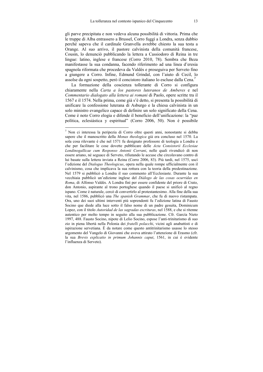gli parve precipitata e non vedeva alcuna possibilità di vittoria. Prima che le truppe di Alba entrassero a Brussel, Corro fuggì a Londra, senza dubbio perché sapeva che il cardinale Granvella avrebbe chiesto la sua testa a Orange. Al suo arrivo, il pastore calvinista della comunità francese, Cousin, lo denunciò pubblicando la lettera a Cassiodoro di Reina in tre lingue: latino, inglese e francese (Corro 2010, 78). Sembra che Beza manifestasse la sua condanna, facendo riferimento ad una linea d'eresia spagnola riformata che procedeva da Valdés e proseguiva per Serveto fino a giungere a Corro. Infine, Edmund Grindal, con l'aiuto di Cecil, lo assolse da ogni sospetto, però il concistoro italiano lo escluse dalla Cena.<sup>7</sup>

La formazione della coscienza tollerante di Corro si configura chiaramente nella *Carta a los pastores luteranos de Amberes* e nel *Commentario dialogato alla lettera ai romani* di Paolo, opere scritte tra il 1567 e il 1574. Nella prima, come già s'è detto, si presenta la possibilità di unificare la confessione luterana di Asburgo e la chiesa calvinista in un solo ministro evangelico capace di definire un solo significato della Cena. Come è noto Corro elogia e difende il beneficio dell'unificazione: la "paz política, eclesiástica y espiritual" (Corro 2006, 50). Non è possibile

 7 Non ci interessa la peripezia di Corro oltre questi anni, nonostante si debba sapere che il manoscritto della *Monas theologica* già era concluso nel 1570. La sola cosa rilevante è che nel 1571 fu designato professore di teologia a Londra e che per facilitare le cose dovette pubblicare delle *Acta Consistorii Ecclesiae Londinogallicae cum Responso Antonii Corrani*, nelle quali rivendicò di non essere ariano, né seguace di Serveto, rifiutando le accuse che circolavano contro di lui basate sulla lettera inviata a Reina (Corro 2006, 83). Più tardi, nel 1575, uscì l'edizione del *Dialogus Theologicus*, opera nella quale rompe ufficialmente con il calvinismo, cosa che implicava la sua rottura con la teoria della predestinazione. Nel 1579 si pubblicò a Londra il suo commento all'Ecclesiaste. Durante la sua vecchiaia pubblicò un'edizione inglese del *Diálogo de las cosas ocurridas en Roma*, di Alfonso Valdés. A Londra finì per essere confidente del priore di Crato, don Antonio, aspirante al trono portoghese quando il paese si unificò al regno ispano. Come è naturale, cercò di convertirlo al protestantesimo. Alla fine della sua vita, nel 1586, pubblicò una *The spanish Grammar*, che fu di nuovo ristampata. Ora, uno dei suoi ultimi interventi più soprendenti fu l'edizione latina di Fausto Socino que diede alla luce sotto il falso nome di un padre gesuita, Dominicum Lopez, con il titolo *Autoridad de las sagradas escrituras*, nel 1588, e che si ritenne autentico per molto tempo in seguito alla sua pubblicazione. Cfr. García Nieto 1997, 488. Fausto Socino, nipote di Lelio Socino, espose l'anti-trinitarismo di suo zio in piena libertà nella Polonia dei *fratelli polacchi*, vicini agli anabattisti e di ispirazione servetiana. È da notare come questo antitrinitarismo usasse lo stesso argomento del Vangelo di Giovanni che aveva attirato l'attenzione di Erasmo (cfr. la sua *Brevis explicatio in primum Johannis caput*, 1561, in cui è evidente l'influenza di Serveto).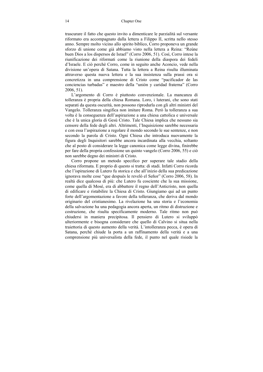trascurare il fatto che questo invito a dimenticare le parzialità sul versante riformato era accompagnato dalla lettera a Filippo II, scritta nello stesso anno. Sempre molto vicino allo spirito biblico, Corro proponeva un grande sforzo di unione come già abbiamo visto nella lettera a Reina: "Reúne buen Dios a los dispersos de Israel" (Corro 2006, 51). Così, Corro intese la riunificazione dei riformati come la riunione della diaspora dei fedeli d'Israele. E ciò perchè Corro, come in seguito anche Aconcio, vede nella divisione un'opera di Satana. Tutta la lettera a Reina risulta illuminata attraverso questa nuova lettera e la sua insistenza sulla prassi ora si concretizza in una comprensione di Cristo come "pacificador de las conciencias turbadas" e maestro della "unión y caridad fraterna" (Corro 2006, 51).

L'argomento di Corro è piuttosto convenzionale. La mancanza di tolleranza è propria della chiesa Romana. Loro, i luterani, che sono stati separati da questa oscurità, non possono riprodurla con gli altri ministri del Vangelo. Tolleranza singifica non imitare Roma. Però la tolleranza a sua volta è la conseguenza dell'aspirazione a una chiesa cattolica e universale che è la unica gloria di Gesù Cristo. Tale Chiesa implica che nessuno sia censore della fede degli altri. Altrimenti, l'Inquisizione sarebbe necessaria e con essa l'aspirazione a regolare il mondo secondo le sue sentenze, e non secondo la parola di Cristo. Ogni Chiesa che introduca nuovamente la figura degli Inquisitori sarebbe ancora incardinata alla vecchia, soltanto che al posto di considerare la legge canonica come legge divina, finirebbe per fare della propria confessione un quinto vangelo (Corro 2006, 55) e ciò non sarebbe degno dei ministri di Cristo.

Corro propone un metodo specifico per superare tale stadio della chiesa riformata. E proprio di questo si tratta: di stadi. Infatti Corro ricorda che l'ispirazione di Lutero fu storica e che all'inizio della sua predicazione ignorava molte cose "que después le reveló el Señor" (Corro 2006, 58). In realtà dice qualcosa di più: che Lutero fu cosciente che la sua missione, come quella di Mosé, era di abbattere il regno dell'Anticristo, non quella di edificare e ristabilire la Chiesa di Cristo. Giungiamo qui ad un punto forte dell'argomentazione a favore della tolleranza, che deriva dal mondo originario del cristianesimo. La rivelazione ha una storia e l'economia della salvazione ha una pedagogia ancora aperta, un ritmo di distruzione e costruzione, che risulta specificamente moderno. Tale ritmo non può chiudersi in maniera precipitosa. Il pensiero di Lutero si sviluppò ulteriormente e bisogna considerare che quello di Calvino si situa nella traiettoria di questo aumento della verità. L'intolleranza pecca, è opera di Satana, perché chiude la porta a un raffinamento della verità e a una comprensione più universalista della fede, il punto nel quale risiede la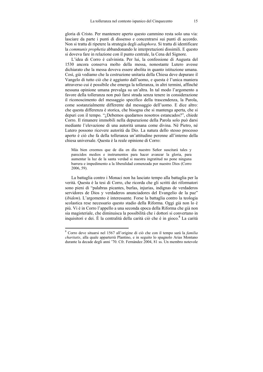gloria di Cristo. Per mantenere aperto questo cammino resta solo una via: lasciare da parte i punti di dissenso e concentrarsi sui punti di accordo. Non si tratta di ripetere la strategia degli *adiaphora*. Si tratta di identificare la *communis prophetia* abbandonando le interpretazioni dissimili. E questo si doveva fare in relazione con il punto centrale, la Cena del Signore.

L'idea di Corro è calvinista. Per lui, la confessione di Augusta del 1530 ancora conserva molto della messa, nonostante Lutero avesse dichiarato che la messa doveva essere abolita in quanto istituzione umana. Così, già vediamo che la costruzione unitaria della Chiesa deve depurare il Vangelo di tutto ciò che è aggiunto dall'uomo, e questa è l'unica maniera attraverso cui è possibile che emerga la tolleranza, in altri termini, affinché nessuna opinione umana prevalga su un'altra. In tal modo l'argomento a favore della tolleranza non può farsi strada senza tenere in considerazione il riconoscimento del messaggio specifico della trascendenza, la Parola, come sostanzialmente differente dal messaggio dell'uomo. E dice altro: che questa differenza è storica, che bisogna che si mantenga aperta, che si depuri con il tempo. "¿Debemos quedarnos nosotros estancados?", chiede Corro. Il rimanere immobili nella depurazione della Parola solo può darsi mediante l'elevazione di una autorità umana come divina. Né Pietro, né Lutero possono ricevere autorità da Dio. La natura dello stesso processo aperto è ciò che fa della tolleranza un'attitudine perenne all'interno della chiesa universale. Questa è la reale opinione di Corro:

Más bien creemos que de día en día nuestro Señor suscitará tales y parecidos medios e instrumentos para hacer avanzar la gloria, para aumentar la luz de la santa verdad si nuestra ingratitud no pone ninguna barrera e impedimento a la liberalidad comenzada por nuestro Dios (Corro 2006, 59).

La battaglia contro i Monaci non ha lasciato tempo alla battaglia per la verità. Questa è la tesi di Corro, che ricorda che gli scritti dei riformatori sono pieni di "palabras picantes, burlas, injurias, indignas de verdaderos servidores de Dios y verdaderos anunciadores del Evangelio de la paz" (*ibidem*). L'argomento è interessante. Forse la battaglia contro la teologia scolastica rese necessario questo stadio della Riforma. Oggi già non lo è più. Vi è in Corro l'appello a una seconda epoca della Riforma che già non sia magisteriale, che diminuisca la possibilità che i dottori si convertano in inquisitori e dei. È la centralità della carità ciò che è in gioco.<sup>8</sup> La carità

 8 Corro deve situarsi nel 1567 all'origine di ciò che con il tempo sarà la *familia charitatis*, alla quale apparterrà Plantino, e in seguito lo spagnolo Arias Montano durante la decade degli anni '70. Cfr. Fernández 2004, 81 ss. Un membro notevole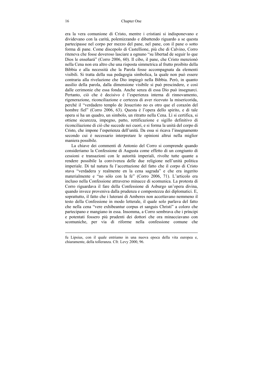era la vera comunione di Cristo, mentre i cristiani si indisponevano e dividevano con la carità, polemizzando e dibattendo riguardo a se questa partecipasse nel corpo per mezzo del pane, nel pane, con il pane o sotto forma di pane. Come discepolo di Castellione, più che di Calvino, Corro riteneva che fosse doveroso lasciare a ognuno "su libertad de seguir lo que Dios le enseñará" (Corro 2006, 60). Il cibo, il pane, che Cristo menzionò nella Cena non era altro che una risposta simmetrica al frutto proibito della Bibbia e alla necessità che la Parola fosse accompagnata da elementi visibili. Si tratta della sua pedagogia simbolica, la quale non può essere contraria alla rivelazione che Dio impiegò nella Bibbia. Però, in quanto ausilio della parola, dalla dimensione visibile si può prescindere, e così dalle cerimonie che essa fonda. Anche senza di essa Dio può insegnarci. Pertanto, ciò che è decisivo è l'esperienza interna di rinnovamento, rigenerazione, riconciliazione e certezza di aver ricevuto la misericorida, perché il "verdadero templo de Jesucristo no es otro que el corazón del hombre fiel" (Corro 2006, 63). Questa è l'opera dello spirito, e di tale opera si ha un quadro, un simbolo, un ritratto nella Cena. Lì si certifica, si ottiene sicurezza, impegno, patto, rettificazione e sigillo definitivo di riconciliazione di ciò che succede nei cuori, e si forma la unità del corpo di Cristo, che impone l'esperienza dell'unità. Da essa si ricava l'insegnamento secondo cui è necessario interpretare le opinioni altrui nella miglior maniera possibile.

La chiave dei commenti di Antonio del Corro si comprende quando consideriamo la Confessione di Augusta come effetto di un congiunto di cessioni e transazioni con le autorità imperiali, rivolte tutte quante a rendere possibile la convivenza delle due religione nell'unità politica imperiale. Di tal natura fu l'accettazione del fatto che il corpo di Cristo stava "verdadera y realmente en la cena sagrada" e che era ingerito materialmente e "no sólo con la fe" (Corro 2006, 71). L'articolo era incluso nella Confessione attraverso minacce di scomunica. La protesta di Corro riguardava il fare della Confessione di Asburgo un'opera divina, quando invece proveniva dalla prudenza e compostezza dei diplomatici. E, soprattutto, il fatto che i luterani di Amberes non accettavano nemmeno il testo della Confessione in modo letterale, il quale solo parlava del fatto che nella cena "vere exhibeantur corpus et sanguis Christi" a coloro che partecipano e mangiano in essa. Insomma, a Corro sembrava che i prìncipi e potentati fossero più prudenti dei dottori che ora minacciavano con scomuniche, per via di riforme nella confessione comune che

 $\overline{a}$ 

fu Lipsius, con il quale entriamo in una nuova epoca della vita europea e, chiaramente, della tolleranza. Cfr. Levy 2000, 96.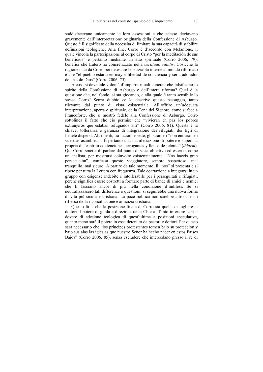soddisfacevano unicamente le loro ossessioni e che adesso deviavano gravemente dall'interpretazione originaria della Confessione di Asburgo. Questo è il significato della necessità di limitare la sua capacità di stabilire definizioni teologiche. Alla fine, Corro è d'accordo con Melantone, il quale vincola la partecipazione al corpo di Cristo "por la meditación de sus beneficios" e pertanto mediante un atto spirituale (Corro 2006, 79), benefici che Lutero ha concretizzato nella *certitudo salutis*. Cosicché la ragione data da Corro per detestare le parzialità interne al mondo riformato è che "el pueblo estaría en mayor libertad de conciencia y sería adorador de un solo Dios" (Corro 2006, 75).

A cosa si deve tale volontà d'imporre rituali concreti che falsificano lo spirito della Confessione di Asburgo e dell'intera riforma? Qual è la questione che, nel fondo, si sta giocando, e alla quale è tanto sensibile lo stesso Corro? Senza dubbio ce lo descrive questo passaggio, tanto rilevante dal punto di vista esistenziale. All'offrire un'adeguata interpretazione, aperta e spirituale, della Cena del Signore, come si fece a Francoforte, che si mostrò fedele alla Confessione di Asburgo, Corro sottolinea il fatto che ciò permise che "vivieran en paz los pobres extranjeros que estaban refugiados allí" (Corro 2006, 81). Questa è la chiave: tolleranza è garanzia di integrazione dei rifugiati, dei figli di Israele dispersi. Altrimenti, tra fazioni e sette, gli stranieri "non entraran en vuestras asambleas". È pertanto una manifestazione di potere e superbia, propria di "espíritu contenciones, arrogantes y llenos de felonía" (*ibidem*). Qui Corro smette di parlare dal punto di vista obiettivo ed esterno, come un analista, per mostrarsi coinvolto esistenzialmente. "Nos hacéis gran persecución", confessa questo viaggiatore, sempre sospettoso, mai tranquillo, mai sicuro. A partire da tale momento, il "nos" si presenta e si ripete per tutta la Lettera con frequenza. Tale coartazione a integrarsi in un gruppo con esigenze indebite è intollerabile per i perseguitati e rifugiati, perché significa essere costretti a formare parte di bande di amici e nemici che li lasciano ancor di più nella condizione d'indifesi. Se si neutralizzassero tali differenze e questioni, si seguirebbe una nuova forma di vita più sicura e cristiana. La pace politica non sarebbe altro che un riflesso della riconciliazione e amicizia cristiana.

Questo fa si che la posizione finale di Corro sia quella di togliere ai dottori il potere di guida e direzione della Chiesa. Tanto inferiore sará il dovere di adesione teologica di quest'ultima a posizioni speculative, quanto meno sará il potere in essa detenuto da pastori e dottori. Per questo sarà necessario che "los príncipes protestantes tomen bajo su protección y bajo sus alas las iglesias que nuestro Señor ha hecho nacer en estos Países Bajos" (Corro 2006, 85), senza escludere che intercedano presso il re di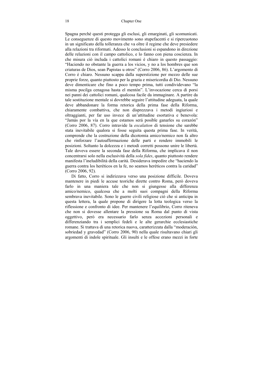Spagna perché questi protegga gli esclusi, gli emarginati, gli scomunicati. Le conseguenze di questo movimento sono stupefacenti e si ripercuotono in un significato della tolleranza che va oltre il regime che deve presiedere alla relazioni tra riformati. Adesso le conclusioni si espandono in direzione delle relazioni con il campo cattolico, e lo fanno con piena coscienza. In che misura ciò includa i cattolici romani è chiaro in questo passaggio: "Haciendo no obstante la guerra a los vicios, y no a los hombres que son criaturas de Dios, sean Papistas u otros" (Corro 2006, 86). L'argomento di Corro è chiaro. Nessuno scappa dalla superstizione per mezzo delle sue proprie forze, quanto piuttosto per la grazia e misericordia di Dio. Nessuno deve dimenticare che fino a poco tempo prima, tutti condividevano "la misma pocilga cenagosa hasta el mentón". L'invocazione cerca di porsi nei panni dei cattolici romani, qualcosa facile da immaginare. A partire da tale sostituzione mentale si dovrebbe seguire l'attitudine adeguata, la quale deve abbandonare la forma retorica della prima fase della Riforma, chiaramente combattiva, che non disprezzava i metodi ingiuriosi e oltraggianti, per far uso invece di un'attitudine esortativa e benevola: "Jamás por la vía en la que estamos será posible ganarles su corazón" (Corro 2006, 87). Corro intravide la *escalation* di tensione che sarebbe stata inevitabile qualora si fosse seguita questa prima fase. In verità, comprende che la costruzione della dicotomia amico/nemico non fa altro che rinforzare l'autoaffermazione delle parti e rendere immobili le posizioni. Soltanto la dolcezza e i metodi corretti possono unire le libertà. Tale doveva essere la seconda fase della Riforma, che implicava il non concentrarsi solo nella esclusività della *sola fides*, quanto piuttosto rendere manifesta l'ineludibilità della carità. Desiderava impedire che "haciendo la guerra contra los heréticos en la fe, no seamos heréticos contra la caridad" (Corro 2006, 92).

Di fatto, Corro si indirizzava verso una posizione difficile. Doveva mantenere in piedi le accuse teoriche dirette contro Roma, però doveva farlo in una maniera tale che non si giungesse alla differenza amico/nemico, qualcosa che a molti suoi compagni della Riforma sembrava inevitabile. Sono le guerre civili religiose ciò che si anticipa in questa lettera, la quale propone di dirigere la lotta teologica verso la riflessione e confronto di idee. Per mantenere l'equilibrio, Corro riteneva che non si dovesse allentare la pressione su Roma dal punto di vista oggettivo, però era necessario farlo senza accezioni personali e differenziando tra i semplici fedeli e le alte gerarchie ecclesiastiche romane. Si trattava di una retorica nuova, caratterizzata dalla "moderación, sobriedad y gravedad" (Corro 2006, 90) nella quale risultavano chiari gli argomenti di indole spirituale. Gli insulti e le offese erano mezzi in forte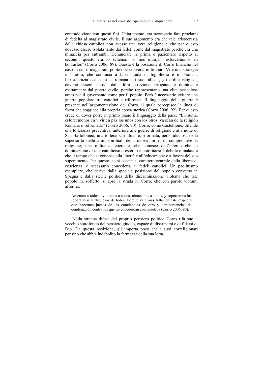contraddizione con questi fini. Chiaramente, era necessario fare proclami di fedeltà al magistrato civile. Il suo argomento era che tale aristocrazia della chiesa cattolica non avesse una vera religione e che per questo dovesse essere isolata tanto dai fedeli come dal magistrato perché era una minaccia per entrambi. Denunciare la prima e pazientare rispetto ai secondi, questo era lo schema: "si nos ultrajan, esforcémonos en honrarlos" (Corro 2006, 89). Questa è la posizione di Corro finanche nel caso in cui il magistrato politico si converta in tiranno. Vi è una strategia in questo, che comincia a farsi strada in Inghilterra e in Francia: l'aristocrazia ecclesiastica romana e i suoi alleati, gli ordini religiosi, devono essere smossi dalla loro posizione arrogante e dominante esattamente dal potere civile, perché rappresentano una elite pericolosa tanto per il governante come per il popolo. Però è necessario evitare una guerra popolare tra cattolici e riformati. Il linguaggio della guerra è presente nell'argomentazione del Corro, il quale percepisce la linea di forza che soggiace alla propria epoca storica (Corro 2006, 92). Per questo crede di dover porre in primo piano il linguaggio della pace: "En suma, esforcémonos en vivir en paz los unos con los otros, ya sean de la religión Romana o reformada" (Corro 2006, 90). Corro, come Castellione, difende una tolleranza preventiva, anteriore alle guerre di religione e alla notte di San Bartolomeo, una tolleranza militante, riformata, però fiduciosa nella superiorità delle armi spirituali della nuova forma di comprendere la religione; una militanza coerente, che conosce dall'interno che la dominazione di tale cattolicismo esterno e autoritario è debole e malata e che il tempo che si concede alla libertà e all'educazione è a favore del suo superamento. Per questo, se si accetta il carattere centrale della liberta di coscienza, è necessario concederla ai fedeli cattolici. Un paolinismo esemplare, che deriva dalla speciale posizione del popolo converso in Spagna e dalla sterile politica della discriminazione violenta che tale popolo ha sofferto, si apre la strada in Corro, che con parole vibranti afferma:

Amemos a todos, ayudemos a todos, abracemos a todos, y soportemos las ignorancias y flaquezas de todos. Porque vale más fallar en este respecto que hacernos jueces de las conciencias de otro y dar sentencias de condenación contra los que no concuerdan con nosotros (Corro 2006, 90).

 Nella strenua difesa del proprio pensiero politico Corro rifà suo il vecchio sottofondo del pensiero giudeo, capace di disarmarsi e di fidarsi di Dio. Da questa posizione, gli importa poco che i suoi correligionari pensino che abbia indebolito la fermezza della sua lotta.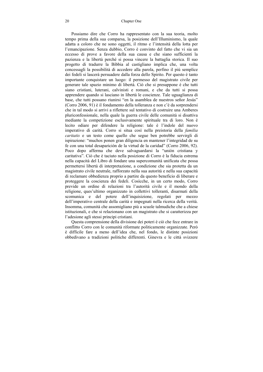Possiamo dire che Corro ha rappresentato con la sua teoria, molto tempo prima della sua comparsa, la posizione dell'Illuminismo, la quale adatta a coloro che ne sono oggetti, il ritmo e l'intensità della lotta per l'emancipazione. Senza dubbio, Corro è convinto del fatto che vi sia un eccesso di prove a favore della sua causa e che siano sufficienti la pazienza e la libertà perché si possa vincere la battaglia storica. Il suo progetto di tradurre la Bibbia al castigliano implica che, una volta concessagli la possibilità di accedere alla parola, perfino il più semplice dei fedeli si lascerà persuadere dalla forza dello Spirito. Per questo è tanto importante conquistare un luogo: il permesso del magistrato civile per generare tale spazio minimo di libertà. Ciò che si presuppone è che tutti siano cristiani, luterani, calvinisti e romani, e che da tutti si possa apprendere quando si lasciano in libertà le coscienze. Tale uguaglianza di base, che tutti possano riunirsi "en la asamblea de nuestros señor Jesús" (Corro 2006, 91) è il fondamento della tolleranza e non c'è da sorprendersi che in tal modo si arrivi a riflettere sul tentativo di costruire una Amberes pluriconfessionale, nella quale la guerra civile delle comunità si disattiva mediante la competizione esclusivamente spirituale tra di loro. Non è lecito odiare per difendere la religione: tale è l'indole del nuovo imperativo di carità. Corro si situa così nella preistoria della *familia caritatis* e un testo come quello che segue ben potrebbe servirgli di ispirazione: "muchos ponen gran diligencia en mantener l'integridad de su fe con una total desaparición de la virtud de la caridad" (Corro 2006, 92). Poco dopo afferma che deve salvaguardarsi la "unión cristiana y caritativa". Ciò che è taciuto nella posizione di Corro è la fiducia estrema nella capacità del Libro di fondare una supercomunità unificata che possa permettersi libertà di interpretazione, a condizione che sia protetta da un magistrato civile neutrale, rafforzato nella sua autorità e nella sua capacità di reclamare obbedienza proprio a partire da questo beneficio di liberare e proteggere la coscienza dei fedeli. Cosìcche, in un certo modo, Corro previde un ordine di relazioni tra l'autorità civile e il mondo della religione, ques'ultimo organizzato in collettivi tolleranti, disarmati della scomunica e del potere dell'inquisizione, regolati per mezzo dell'imperativo centrale della carità e impegnati nella ricerca della verità. Insomma, comunità che assomigliano più a scuole talmudiche che a chiese istituzionali, e che si relazionano con un magistrato che si caratterizza per l'adesione agli stessi principi cristiani.

Questa comprensione della divisione dei poteri è ciò che fece entrare in conflitto Corro con le comunità riformate politicamente organizzate. Però è difficile fare a meno dell'idea che, nel fondo, le distinte posizioni obbedivano a tradizioni politiche differenti. Ginevra e le città svizzere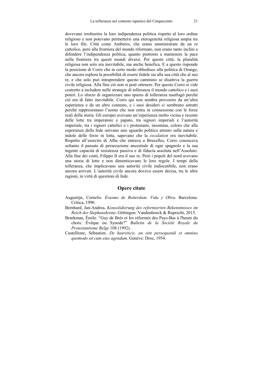dovevano irrobustire la loro indipendenza politica rispetto al loro ordine religioso e non potevano permettersi una eterogeneità religiosa ampia tra le loro file. Città come Amberes, che erano amministrate da un re cattolico, però alla frontiera del mondo riformato, non erano tanto inclini a difendere l'indipendenza politica, quanto piuttosto a mantenere la pace nella frontiera tra questi mondi diversi. Per queste città, la pluralità religiosa non solo era inevitabile, ma anche benefica. E a questo risponde la posizione di Corro che in certo modo obbedisce alla politica di Orange, che ancora esplora la possibilità di essere fedele sia alla sua città che al suo re, e che solo può intraprendere questo cammino se disattiva la guerra civile religiosa. Alla fine ciò non si poté ottenere. Per questo Corro si vide costretto a includere nelle strategie di tolleranza il mondo cattolico e i suoi poteri. Lo sforzo di organizzare uno spazio di tolleranza naufragò perché ciò era di fatto inevitabile. Corro qui non sembra provenire da un'altra esperienza e da un altro contesto, e i suoi desideri ci sembrano astratti perché rappresentano l'uomo che non entra in connessione con le forze reali della storia. Gli europei avevano un'esperienza molto vicina e recente delle lotte tra imperatore e papato, tra signori imperiali e l'autorità imperiale, tra i signori cattolici e i protestanti, insomma, coloro che alla esperienza della fede univano uno sguardo politico attento sulla natura e indole delle forze in lotta, sapevano che la *escalation* era inevitabile. Rispetto all'esercito di Alba che entrava a Bruxelles, Corro conosceva soltanto il passato di persecuzione ancestrale di ogni spagnolo e la sua ingente capacità di resistenza passiva e di fiducia assoluta nell'Assoluto. Alla fine dei conti, Filippo II era il suo re. Però i popoli del nord avevano una storia di lotte e non dimenticavano le loro regole. I tempi della tolleranza, che implicavano una autorità civile indiscutibile, non erano ancora arrivati. L'autorità civile ancora doveva essere decisa, tra le altre ragioni, in virtù di questioni di fede.

#### **Opere citate**

- Augustijn, Cornelis. *Erasmo de Rotterdam. Vida y Obra*. Barcelona: Crítica, 1990.
- Bernhard, Jan-Andrea**.** *Konsolidierung des reformierten Bekenntnisses im Reich der Stephanskrone***.** Göttingen: Vandenhoeck & Ruprecht, 2015.
- Braekman, Émile. "Guy de Brès et les réformés des Pays-Bas à l'heure du choix: Évêque ou Synode?" *Bulletin de la Société Royale du Protestantisme Belge* 108 (1992).
- Castellione, Sébastien. *De haereticis, an sint persequendi et omnino quomodo sit cum eius agendum*. Genève: Droz, 1954.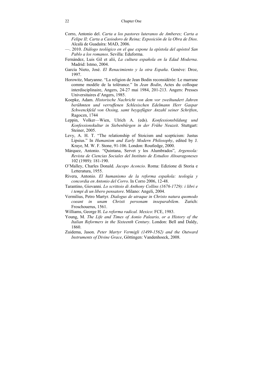- Corro, Antonio del. *Carta a los pastores luteranos de Amberes; Carta a Felipe II; Carta a Casiodoro de Reina; Exposición de la Obra de Dios*. Alcalà de Guadaíra: MAD, 2006.
- —. 2010. *Diálogo teológico en el que expone la epístola del apóstol San Pablo a los romanos*. Sevilla: Eduforma.
- Fernández, Luis Gil et alii, *La cultura española en la Edad Moderna*. Madrid: Istmo, 2004.
- García Nieto, José. *El Renacimiento y la otra España*. Genève: Droz, 1997.
- Horowitz, Maryanne. "La religion de Jean Bodin reconsidérée: Le marrane comme modèle de la tolérance." In *Jean Bodin*, Actes du colloque interdisciplinaire, Angers, 24-27 mai 1984, 201-213. Angers: Presses Universitaires d'Angers, 1985.
- Koepke, Adam. *Historische Nachricht von dem vor zweihundert Jahren berühmten und verruffenen Schlesischen Edelmann Herr Gaspar Schwenckfeld von Ossing, samt beygefügter Anzahl seiner Schriften*, Ragoczn, 1744
- Leppin, Volker—Wien, Ulrich A. (eds). *Konfessionsbildung und Konfessionskultur in Siebenbürgen in der Frühe Neuzeit*. Stuttgart: Steiner, 2005.
- Levy, A. H. T. "The relationship of Stoicism and scepticism: Justus Lipsius." In *Humanism and Early Modern Philosophy*, edited by J. Kraye, M. W. F. Stone, 91-106. London: Routledge, 2000.
- Márquez, Antonio. "Quintana, Servet y los Alumbrados", *Argensola: Revista de Ciencias Sociales del Instituto de Estudios Altoaragoneses* 102 (1989): 181-190.
- O'Malley, Charles Donald. *Jacopo Aconcio*. Roma: Edizione di Storia e Letteratura, 1955.
- Rivera, Antonio. *El humanismo de la reforma española: teología y concordia en Antonio del Corro*. In Corro 2006, 12-48.
- Tarantino, Giovanni. *Lo scrittoio di Anthony Collins (1676-1729): i libri e i tempi di un libero pensatore*. Milano: Angeli, 2004.
- Vermilius, Petro Martyr. *Dialogus de utraque in Christo natura quomodo coeant in unam Christi personam inseparabilem*. Zurich: Froschouerus, 1561.
- Williams, George H. *La reforma radical. Mexico*: FCE, 1983.
- Young, M. *The Life and Times of Aonio Paleario, or a History of the Italian Reformers in the Sixteenth Century*. London: Bell and Daldy, 1860.
- Zuidema, Jason. *Peter Martyr Vermigli (1499-1562) and the Outward Instruments of Divine Grace*, Göttingen: Vandenhoeck, 2008.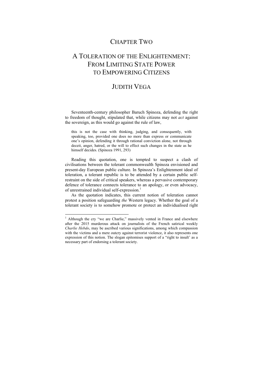## CHAPTER TWO

## A TOLERATION OF THE ENLIGHTENMENT: FROM LIMITING STATE POWER TO EMPOWERING CITIZENS

### JUDITH VEGA

Seventeenth-century philosopher Baruch Spinoza, defending the right to freedom of thought, stipulated that, while citizens may not *act* against the sovereign, as this would go against the rule of law,

this is not the case with thinking, judging, and consequently, with speaking, too, provided one does no more than express or communicate one's opinion, defending it through rational conviction alone, not through deceit, anger, hatred, or the will to effect such changes in the state as he himself decides. (Spinoza 1991, 293)

Reading this quotation, one is tempted to suspect a clash of civilisations between the tolerant commonwealth Spinoza envisioned and present-day European public culture. In Spinoza's Enlightenment ideal of toleration, a tolerant republic is to be attended by a certain public selfrestraint on the side of critical speakers, whereas a pervasive contemporary defence of tolerance connects tolerance to an apology, or even advocacy, of unrestrained individual self-expression.<sup>1</sup>

As the quotation indicates, this current notion of toleration cannot protest a position safeguarding *the* Western legacy. Whether the goal of a tolerant society is to somehow promote or protect an individualised right

<sup>&</sup>lt;sup>1</sup> Although the cry "we are Charlie," massively vented in France and elsewhere after the 2015 murderous attack on journalists of the French satirical weekly *Charlie Hebdo*, may be ascribed various significations, among which compassion with the victims and a mere outcry against terrorist violence, it also represents one expression of this notion. The slogan epitomises support of a "right to insult' as a necessary part of endorsing a tolerant society.